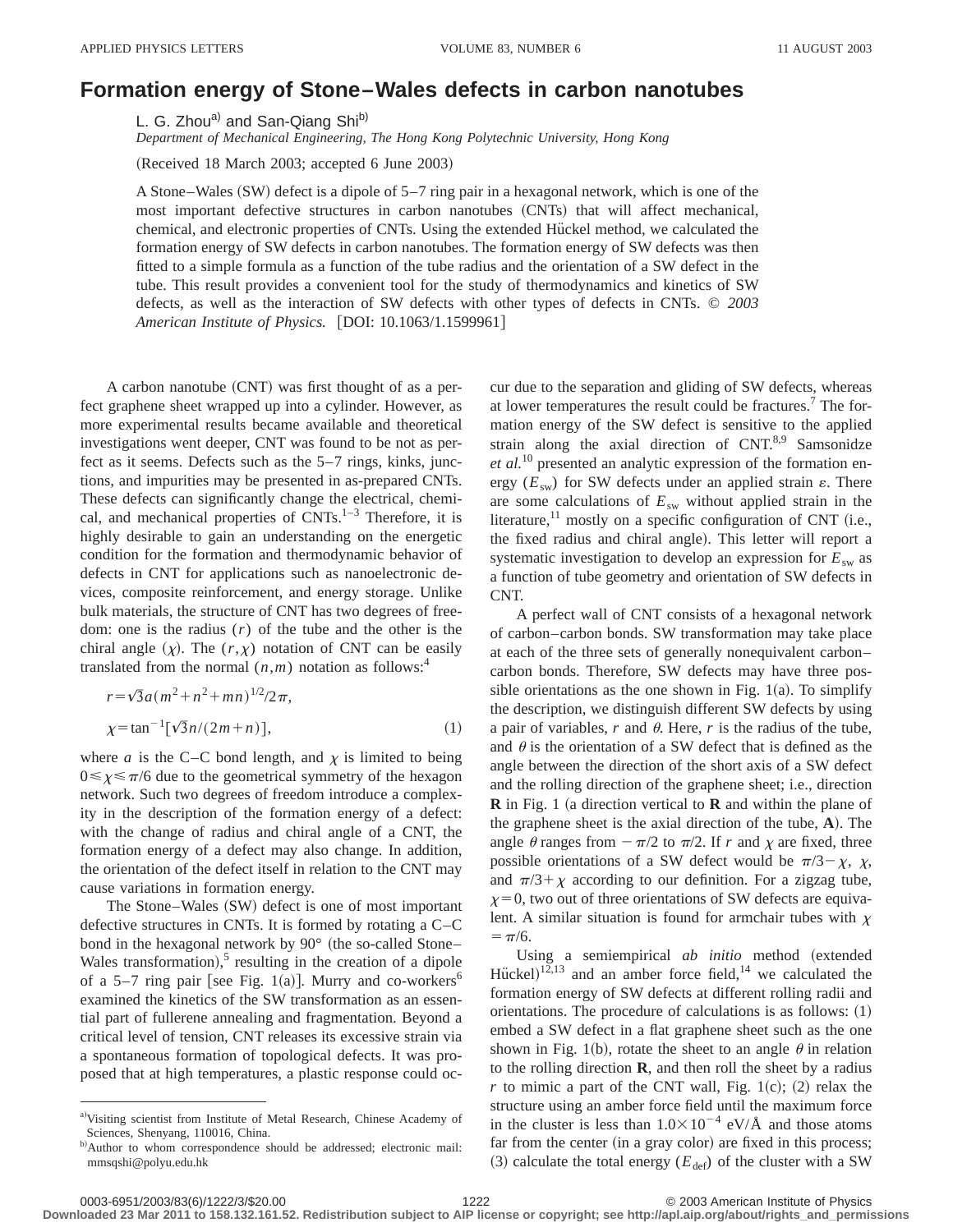## **Formation energy of Stone–Wales defects in carbon nanotubes**

L. G. Zhou<sup>a)</sup> and San-Qiang Shi<sup>b)</sup>

*Department of Mechanical Engineering, The Hong Kong Polytechnic University, Hong Kong*

(Received 18 March 2003; accepted 6 June 2003)

A Stone–Wales  $(SW)$  defect is a dipole of 5–7 ring pair in a hexagonal network, which is one of the most important defective structures in carbon nanotubes (CNTs) that will affect mechanical, chemical, and electronic properties of CNTs. Using the extended Hückel method, we calculated the formation energy of SW defects in carbon nanotubes. The formation energy of SW defects was then fitted to a simple formula as a function of the tube radius and the orientation of a SW defect in the tube. This result provides a convenient tool for the study of thermodynamics and kinetics of SW defects, as well as the interaction of SW defects with other types of defects in CNTs. © *2003 American Institute of Physics.* [DOI: 10.1063/1.1599961]

A carbon nanotube  $(CNT)$  was first thought of as a perfect graphene sheet wrapped up into a cylinder. However, as more experimental results became available and theoretical investigations went deeper, CNT was found to be not as perfect as it seems. Defects such as the 5–7 rings, kinks, junctions, and impurities may be presented in as-prepared CNTs. These defects can significantly change the electrical, chemical, and mechanical properties of  $CNTs.<sup>1-3</sup>$  Therefore, it is highly desirable to gain an understanding on the energetic condition for the formation and thermodynamic behavior of defects in CNT for applications such as nanoelectronic devices, composite reinforcement, and energy storage. Unlike bulk materials, the structure of CNT has two degrees of freedom: one is the radius (*r*) of the tube and the other is the chiral angle  $(x)$ . The  $(r, x)$  notation of CNT can be easily translated from the normal  $(n,m)$  notation as follows:<sup>4</sup>

$$
r = \sqrt{3}a(m^2 + n^2 + mn)^{1/2}/2\pi,
$$
  
\n
$$
\chi = \tan^{-1}[\sqrt{3}n/(2m+n)],
$$
\n(1)

where *a* is the C–C bond length, and  $\chi$  is limited to being  $0 \le \chi \le \pi/6$  due to the geometrical symmetry of the hexagon network. Such two degrees of freedom introduce a complexity in the description of the formation energy of a defect: with the change of radius and chiral angle of a CNT, the formation energy of a defect may also change. In addition, the orientation of the defect itself in relation to the CNT may cause variations in formation energy.

The Stone–Wales (SW) defect is one of most important defective structures in CNTs. It is formed by rotating a C–C bond in the hexagonal network by  $90^{\circ}$  (the so-called Stone– Wales transformation), $5$  resulting in the creation of a dipole of a 5–7 ring pair [see Fig. 1(a)]. Murry and co-workers<sup>6</sup> examined the kinetics of the SW transformation as an essential part of fullerene annealing and fragmentation. Beyond a critical level of tension, CNT releases its excessive strain via a spontaneous formation of topological defects. It was proposed that at high temperatures, a plastic response could oc-

cur due to the separation and gliding of SW defects, whereas at lower temperatures the result could be fractures.7 The formation energy of the SW defect is sensitive to the applied strain along the axial direction of  $CNT<sup>8,9</sup>$  Samsonidze *et al.*<sup>10</sup> presented an analytic expression of the formation energy  $(E_{sw})$  for SW defects under an applied strain  $\varepsilon$ . There are some calculations of *E*sw without applied strain in the literature, $^{11}$  mostly on a specific configuration of CNT (i.e., the fixed radius and chiral angle). This letter will report a systematic investigation to develop an expression for  $E_{sw}$  as a function of tube geometry and orientation of SW defects in CNT.

A perfect wall of CNT consists of a hexagonal network of carbon–carbon bonds. SW transformation may take place at each of the three sets of generally nonequivalent carbon– carbon bonds. Therefore, SW defects may have three possible orientations as the one shown in Fig.  $1(a)$ . To simplify the description, we distinguish different SW defects by using a pair of variables,  $r$  and  $\theta$ . Here,  $r$  is the radius of the tube, and  $\theta$  is the orientation of a SW defect that is defined as the angle between the direction of the short axis of a SW defect and the rolling direction of the graphene sheet; i.e., direction **R** in Fig. 1 (a direction vertical to **R** and within the plane of the graphene sheet is the axial direction of the tube,  $\bf{A}$ ). The angle  $\theta$  ranges from  $-\pi/2$  to  $\pi/2$ . If *r* and  $\chi$  are fixed, three possible orientations of a SW defect would be  $\pi/3-\chi$ ,  $\chi$ , and  $\pi/3 + \chi$  according to our definition. For a zigzag tube,  $x=0$ , two out of three orientations of SW defects are equivalent. A similar situation is found for armchair tubes with  $\chi$  $= \pi/6.$ 

Using a semiempirical *ab initio* method (extended Hückel)<sup>12,13</sup> and an amber force field,<sup>14</sup> we calculated the formation energy of SW defects at different rolling radii and orientations. The procedure of calculations is as follows:  $(1)$ embed a SW defect in a flat graphene sheet such as the one shown in Fig. 1(b), rotate the sheet to an angle  $\theta$  in relation to the rolling direction **R**, and then roll the sheet by a radius  $r$  to mimic a part of the CNT wall, Fig. 1(c); (2) relax the structure using an amber force field until the maximum force in the cluster is less than  $1.0\times10^{-4}$  eV/Å and those atoms far from the center (in a gray color) are fixed in this process;  $(3)$  calculate the total energy ( $E_{def}$ ) of the cluster with a SW

a)Visiting scientist from Institute of Metal Research, Chinese Academy of Sciences, Shenyang, 110016, China.

b)Author to whom correspondence should be addressed; electronic mail: mmsqshi@polyu.edu.hk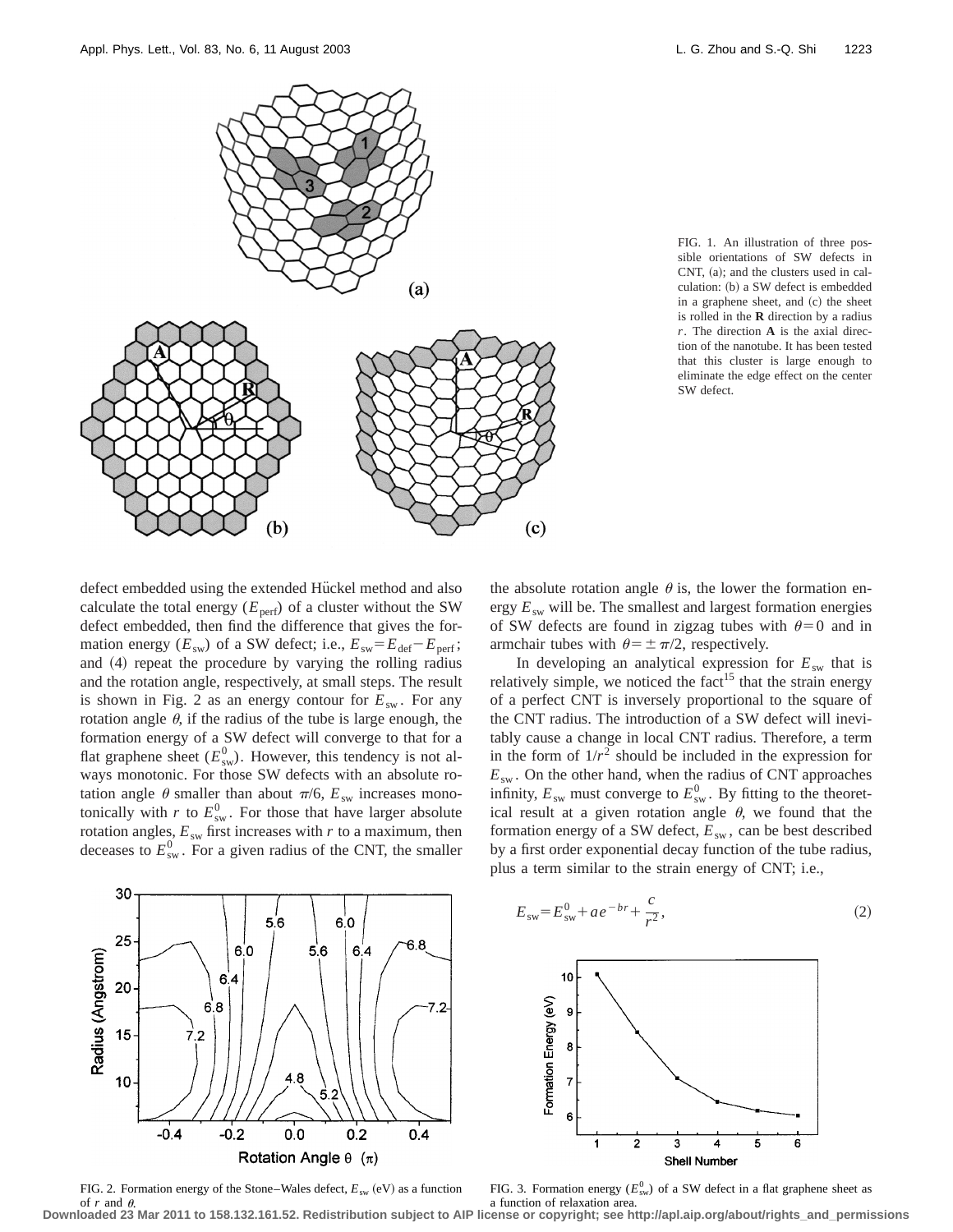

FIG. 1. An illustration of three possible orientations of SW defects in CNT,  $(a)$ ; and the clusters used in calculation: (b) a SW defect is embedded in a graphene sheet, and (c) the sheet is rolled in the **R** direction by a radius *r*. The direction **A** is the axial direction of the nanotube. It has been tested that this cluster is large enough to eliminate the edge effect on the center SW defect.

defect embedded using the extended Hückel method and also calculate the total energy  $(E_{\text{perf}})$  of a cluster without the SW defect embedded, then find the difference that gives the formation energy ( $E_{sw}$ ) of a SW defect; i.e.,  $E_{sw} = E_{def} - E_{perf}$ ; and  $(4)$  repeat the procedure by varying the rolling radius and the rotation angle, respectively, at small steps. The result is shown in Fig. 2 as an energy contour for  $E_{sw}$ . For any rotation angle  $\theta$ , if the radius of the tube is large enough, the formation energy of a SW defect will converge to that for a flat graphene sheet  $(E_{sw}^0)$ . However, this tendency is not always monotonic. For those SW defects with an absolute rotation angle  $\theta$  smaller than about  $\pi/6$ ,  $E_{sw}$  increases monotonically with *r* to  $E_{sw}^0$ . For those that have larger absolute rotation angles,  $E_{sw}$  first increases with  $r$  to a maximum, then deceases to  $E_{sw}^0$ . For a given radius of the CNT, the smaller



FIG. 2. Formation energy of the Stone–Wales defect,  $E_{sw}$  (eV) as a function of  $r$  and  $\theta$ . **Downloaded 23 Mar 2011 to 158.132.161.52. Redistribution subject to AIP license or copyright; see http://apl.aip.org/about/rights\_and\_permissions**

the absolute rotation angle  $\theta$  is, the lower the formation energy *E*sw will be. The smallest and largest formation energies of SW defects are found in zigzag tubes with  $\theta=0$  and in armchair tubes with  $\theta = \pm \pi/2$ , respectively.

In developing an analytical expression for  $E_{sw}$  that is relatively simple, we noticed the fact<sup>15</sup> that the strain energy of a perfect CNT is inversely proportional to the square of the CNT radius. The introduction of a SW defect will inevitably cause a change in local CNT radius. Therefore, a term in the form of  $1/r^2$  should be included in the expression for  $E_{sw}$ . On the other hand, when the radius of CNT approaches infinity,  $E_{sw}$  must converge to  $E_{sw}^0$ . By fitting to the theoretical result at a given rotation angle  $\theta$ , we found that the formation energy of a SW defect,  $E_{sw}$ , can be best described by a first order exponential decay function of the tube radius, plus a term similar to the strain energy of CNT; i.e.,

$$
E_{\rm sw} = E_{\rm sw}^0 + a e^{-br} + \frac{c}{r^2},\tag{2}
$$



FIG. 3. Formation energy  $(E_{sw}^0)$  of a SW defect in a flat graphene sheet as a function of relaxation area.